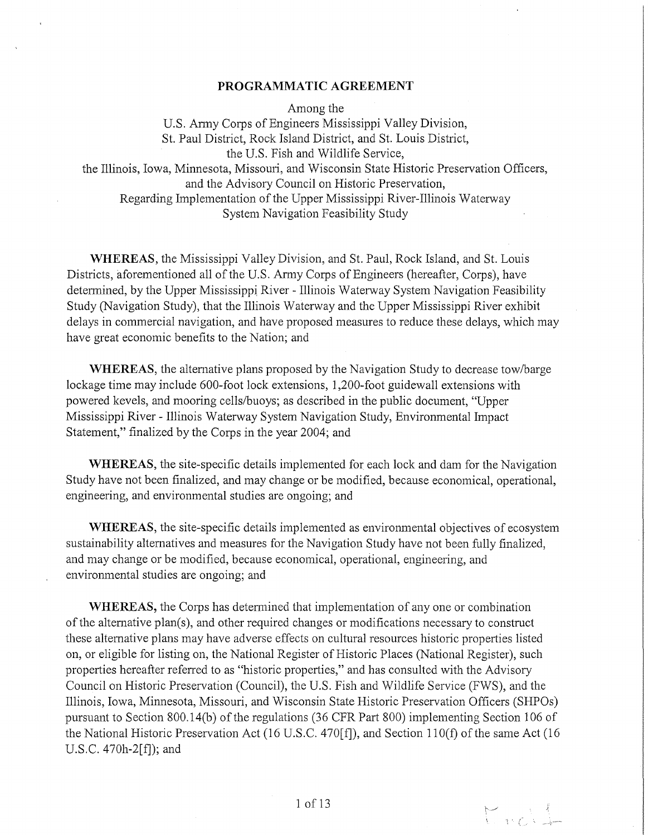### **PROGRAMMATIC AGREEMENT**

Among the

U.S. Anny Corps of Engineers Mississippi Valley Division, St. Paul District, Rock Island District, and St. Louis District, the U.S. Fish and Wildlife Service, the Illinois, Iowa, Minnesota, Missouri, and Wisconsin State Historic Preservation Officers, and the Advisory Council on Historic Preservation, Regarding Implementation of the Upper Mississippi River-Illinois Waterway System Navigation Feasibility Study

**WHEREAS,** the Mississippi Valley Division, and St. Paul, Rock Island, and St. Louis Districts, aforementioned all of the U.S. Army Corps of Engineers (hereafter, Corps), have determined, by the Upper Mississippi River - Illinois Waterway System Navigation Feasibility Study (Navigation Study), that the Illinois Waterway and the Upper Mississippi River exhibit delays in commercial navigation, and have proposed measures to reduce these delays, which may have great economic benefits to the Nation; and

**WHEREAS,** the alternative plans proposed by the Navigation Study to decrease tow/barge lockage time may include 600-foot lock extensions, 1,200-foot guidewall extensions with powered kevels, and mooring cells/buoys; as described in the public document, "Upper Mississippi River - Illinois Waterway System Navigation Study, Environmental Impact Statement," finalized by the Corps in the year 2004; and

**WHEREAS,** the site-specific details implemented for each lock and dam for the Navigation Study have not been finalized, and may change or be modified, because economical, operational, engineering, and environmental studies are ongoing; and

**WHEREAS,** the site-specific details implemented as environmental objectives of ecosystem sustainability alternatives and measures for the Navigation Study have not been fully finalized, and may change or be modified, because economical, operational, engineering, and environmental studies are ongoing; and

**WHEREAS,** the Corps has determined that implementation of any one or combination of the alternative plan(s), and other required changes or modifications necessary to construct these alternative plans may have adverse effects on cultural resources historic properties listed on, or eligible for listing on, the National Register of Historic Places (National Register), such properties hereafter referred to as "historic properties," and has consulted with the Advisory Council on Historic Preservation (Council), the U.S. Fish and Wildlife Service (FWS), and the Illinois, Iowa, Minnesota, Missouri, and Wisconsin State Historic Preservation Officers (SHPOs) pursuant to Section 800.14(b) of the regulations (36 CFR Part 800) implementing Section 106 of the National Historic Preservation Act (16 U.S.C. 470[£]), and Section 1 lO(f) of the same Act (16 U.S.C. 470h-2[f]); and

Knock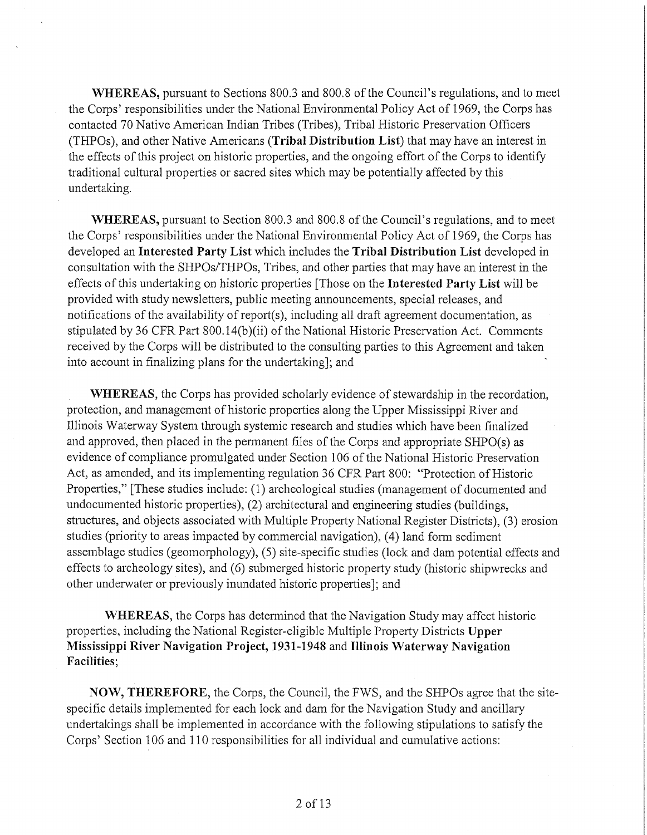**WHEREAS,** pursuant to Sections 800.3 and 800.8 of the Council's regulations, and to meet the Corps' responsibilities under the National Environmental Policy Act of 1969, the Corps has contacted 70 Native American Indian Tribes (Tribes), Tribal Historic Preservation Officers (THPOs), and other Native Americans **(Tribal Distribution List)** that may have an interest in the effects of this project on historic properties, and the ongoing effort of the Corps to identify traditional cultural properties or sacred sites which may be potentially affected by this undertaking.

**WHEREAS,** pursuant to Section 800.3 and 800.8 of the Council's regulations, and to meet the Corps' responsibilities under the National Environmental Policy Act of 1969, the Corps has developed an **Interested Party List** which includes the **Tribal Distribution List** developed in consultation with the SHPOs/THPOs, Tribes, and other parties that may have an interest in the effects of this undertaking on historic properties [Those on the **Interested Party List** will be provided with study newsletters, public meeting announcements, special releases, and notifications of the availability of report(s), including all draft agreement documentation, as stipulated by 36 CFR Part  $800.14(b)(ii)$  of the National Historic Preservation Act. Comments received by the Corps will be distributed to the consulting parties to this Agreement and taken into account in finalizing plans for the undertaking]; and

**WHEREAS,** the Corps has provided scholarly evidence of stewardship in the recordation, protection, and management of historic properties along the Upper Mississippi River and Illinois Waterway System through systemic research and studies which have been finalized and approved, then placed in the pennanent files of the Corps and appropriate SHPO(s) as evidence of compliance promulgated under Section 106 of the National Historic Preservation Act, as amended, and its implementing regulation 36 CFR Part 800: "Protection of Historic Properties," [These studies include: (1) archeological studies (management of documented and undocumented historic properties), (2) architectural and engineering studies (buildings, structures, and objects associated with Multiple Property National Register Districts), (3) erosion studies (priority to areas impacted by commercial navigation), (4) land form sediment assemblage studies (geomorphology), (5) site-specific studies (lock and dam potential effects and effects to archeology sites), and (6) submerged historic property study (historic shipwrecks and other underwater or previously inundated historic properties]; and

**WHEREAS,** the Corps has determined that the Navigation Study may affect historic properties, including the National Register-eligible Multiple Property Districts **Upper Mississippi River Navigation Project, 1931-1948** and **Illinois Waterway Navigation Facilities;** 

**NOW, THEREFORE,** the Corps, the Council, the FWS, and the SHPOs agree that the sitespecific details implemented for each lock and dam for the Navigation Study and ancillary undertakings shall be implemented in accordance with the following stipulations to satisfy the Corps' Section 106 and 110 responsibilities for all individual and cumulative actions: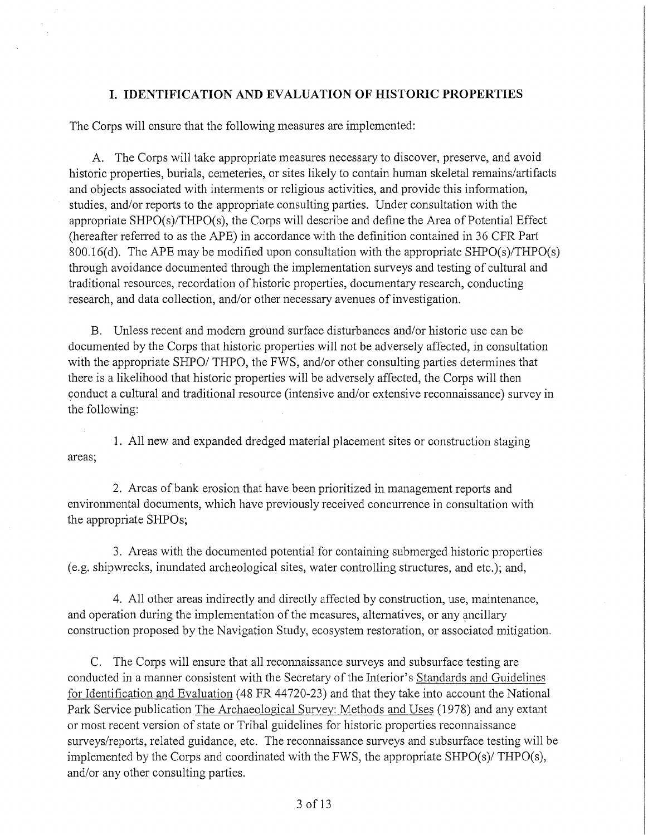## **I. IDENTIFICATION AND EVALUATION OF HISTORIC PROPERTIES**

The Corps will ensure that the following measures are implemented:

A. The Corps will take appropriate measures necessary to discover, preserve, and avoid historic properties, burials, cemeteries, or sites likely to contain human skeletal remains/artifacts and objects associated with interments or religious activities, and provide this information, studies, and/or reports to the appropriate consulting parties. Under consultation with the appropriate SHPO(s)/THPO(s), the Corps will describe and define the Area of Potential Effect (hereafter referred to as the APE) in accordance with the definition contained in 36 CFR Paii 800.16(d). The APE may be modified upon consultation with the appropriate SHPO(s)/THPO(s) through avoidance documented through the implementation surveys and testing of cultural and traditional resources, recordation of historic properties, documentary research, conducting research, and data collection, and/or other necessary avenues of investigation.

B. Unless recent and modem ground surface disturbances and/or historic use can be documented by the Corps that historic properties will not be adversely affected, in consultation with the appropriate SHPO/ THPO, the FWS, and/or other consulting parties determines that there is a likelihood that historic properties will be adversely affected, the Corps will then conduct a cultural and traditional resource (intensive and/or extensive reconnaissance) survey in the following:

1. All new and expanded dredged material placement sites or construction staging areas;

2. Areas of bank erosion that have been prioritized in management reports and environmental documents, which have previously received concurrence in consultation with the appropriate SHPOs;

3. Areas with the documented potential for containing submerged historic properties (e.g. shipwrecks, inundated archeological sites, water controlling structures, and etc.); and,

4. All other areas indirectly and directly affected by construction, use, maintenance, and operation during the implementation of the measures, alternatives, or any ancillary construction proposed by the Navigation Study, ecosystem restoration, or associated mitigation.

C. The Corps will ensure that all reconnaissance surveys and subsurface testing are conducted in a manner consistent with the Secretary of the Interior's Standards and Guidelines for Identification and Evaluation (48 FR 44720-23) and that they take into account the National Park Service publication The Archaeological Survey: Methods and Uses (1978) and any extant or most recent version of state or Tribal guidelines for historic properties recmmaissance surveys/reports, related guidance, etc. The reconnaissance surveys and subsurface testing will be implemented by the Corps and coordinated with the FWS, the appropriate SHPO(s)/ THPO(s), and/or any other consulting parties.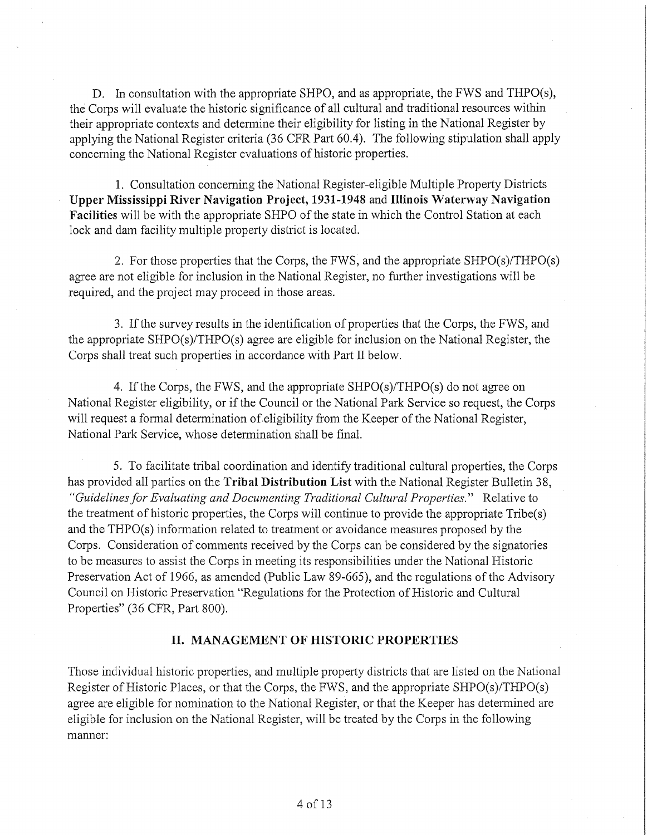D. In consultation with the appropriate SHPO, and as appropriate, the FWS and THPO(s), the Corps will evaluate the historic significance of all cultural and traditional resources within their appropriate contexts and determine their eligibility for listing in the National Register by applying the National Register criteria (36 CFR Part 60.4). The following stipulation shall apply concerning the National Register evaluations of historic properties.

1. Consultation concerning the National Register-eligible Multiple Property Districts **Upper Mississippi River Navigation Project, 1931-1948** and **Illinois Waterway Navigation Facilities** will be with the appropriate SHPO of the state in which the Control Station at each lock and dam facility multiple property district is located.

2. For those properties that the Corps, the FWS, and the appropriate SHPO(s)/THPO(s) agree are not eligible for inclusion in the National Register, no further investigations will be required, and the project may proceed in those areas.

3. If the survey results in the identification of properties that the Corps, the FWS, and the appropriate SHPO(s)/THPO(s) agree are eligible for inclusion on the National Register, the Corps shall treat such properties in accordance with Part II below.

4. If the Corps, the FWS, and the appropriate SHPO(s)/THPO(s) do not agree on National Register eligibility, or if the Council or the National Park Service so request, the Corps will request a formal determination of eligibility from the Keeper of the National Register, National Park Service, whose determination shall be final.

5. To facilitate tribal coordination and identify traditional cultural properties, the Corps has provided all parties on the **Tribal Distribution List** with the National Register Bulletin 38, *"Guidelines for Evaluating and Documenting Traditional Cultural Properties."* Relative to the treatment of historic properties, the Corps will continue to provide the appropriate  $\text{Tribe}(s)$ and the  $THPO(s)$  information related to treatment or avoidance measures proposed by the Corps. Consideration of comments received by the Corps can be considered by the signatories to be measures to assist the Corps in meeting its responsibilities under the National Historic Preservation Act of 1966, as amended (Public Law 89-665), and the regulations of the Advisory Council on Historic Preservation "Regulations for the Protection of Historic and Cultural Properties" (36 CFR, Part 800).

## **II. MANAGEMENT OF HISTORIC PROPERTIES**

Those individual historic properties, and multiple property districts that are listed on the National Register of Historic Places, or that the Corps, the FWS, and the appropriate SHPO(s)/THPO(s) agree are eligible for nomination to the National Register, or that the Keeper has determined are eligible for inclusion on the National Register, will be treated by the Corps in the following manner: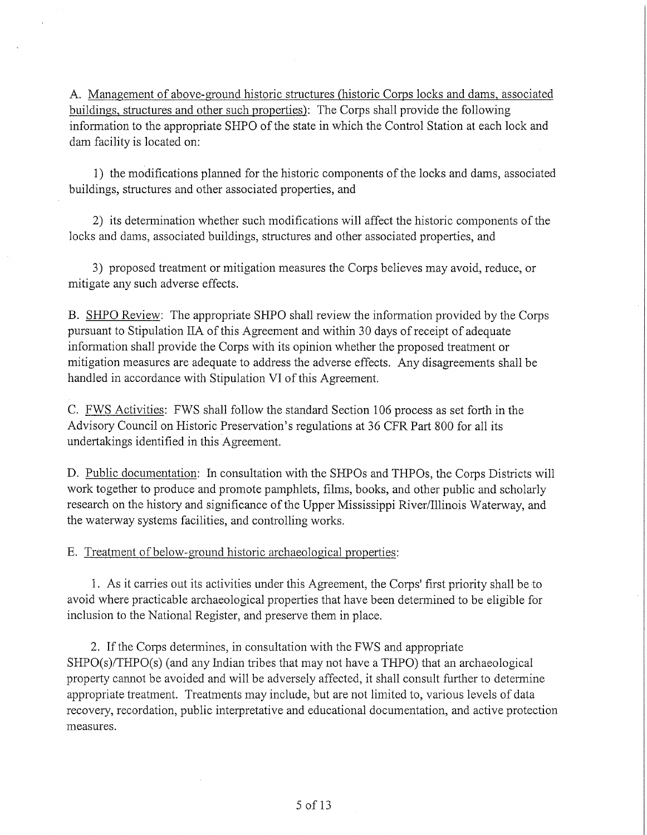A. Management of above-ground historic structures (historic Corps locks and dams, associated buildings, structures and other such properties): The Corps shall provide the following information to the appropriate SHPO of the state in which the Control Station at each lock and dam facility is located on:

1) the modifications planned for the historic components of the locks and dams, associated buildings, structures and other associated properties, and

2) its determination whether such modifications will affect the historic components of the locks and dams, associated buildings, structures and other associated properties, and

3) proposed treatment or mitigation measures the Corps believes may avoid, reduce, or mitigate any such adverse effects.

B. SHPO Review: The appropriate SHPO shall review the information provided by the Corps pursuant to Stipulation IIA of this Agreement and within 30 days ofreceipt of adequate information shall provide the Corps with its opinion whether the proposed treatment or mitigation measures are adequate to address the adverse effects. Any disagreements shall be handled in accordance with Stipulation VI of this Agreement.

C. FWS Activities: FWS shall follow the standard Section 106 process as set forth in the Advisory Council on Historic Preservation's regulations at 36 CFR Part 800 for all its undertakings identified in this Agreement.

D. Public documentation: In consultation with the SHPOs and THPOs, the Corps Districts will work together to produce and promote pamphlets, films, books, and other public and scholarly research on the history and significance of the Upper Mississippi River/Illinois Waterway, and the waterway systems facilities, and controlling works.

E. Treatment of below-ground historic archaeological properties:

1. As it carries out its activities under this Agreement, the Corps' first priority shall be to avoid where practicable archaeological properties that have been determined to be eligible for inclusion to the National Register, and preserve them in place.

2. If the Corps determines, in consultation with the FWS and appropriate SHPO(s)/THPO(s) (and any Indian tribes that may not have a THPO) that an archaeological property cannot be avoided and will be adversely affected, it shall consult further to determine appropriate treatment. Treatments may include, but are not limited to, various levels of data recovery, recordation, public interpretative and educational documentation, and active protection measures.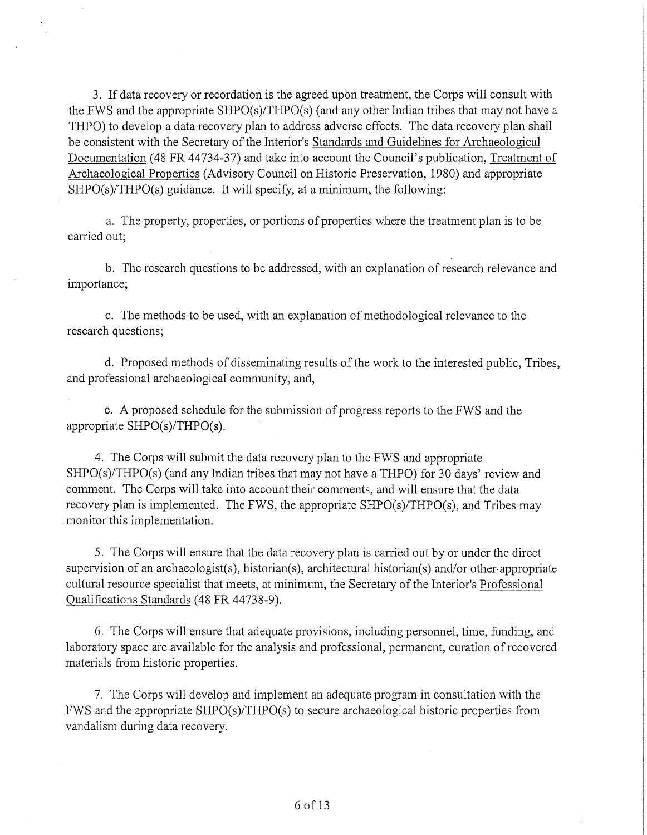3. If data recovery or recordation is the agreed upon treatment, the Corps will consult with the FWS and the appropriate SHPO(s)/THPO(s) (and any other Indian tribes that may not have a THPO) to develop a data recovery plan to address adverse effects. The data recovery plan shall be consistent with the Secretary of the Interior's Standards and Guidelines for Archaeological Documentation (48 FR 44734-37) and take into account the Council's publication, Treatment of Archaeological Properties (Advisory Council on Historic Preservation, 1980) and appropriate SHPO(s)/THPO(s) guidance. It will specify, at a minimum, the following:

a. The property, properties, or portions of properties where the treatment plan is to be carried out:

b. The research questions to be addressed, with an explanation of research relevance and importance;

c. The methods to be used, with an explanation of methodological relevance to the research questions;

d. Proposed methods of disseminating results of the work to the interested public, Tribes, and professional archaeological community, and,

e. A proposed schedule for the submission of progress reports to the FWS and the appropriate SHPO(s)/THPO(s).

4. The Corps will submit the data recovery plan to the FWS and appropriate SHPO(s)/THPO(s) (and any Indian tribes that may not have a THPO) for 30 days' review and comment. The Corps will take into account their comments, and will ensure that the data recovery plan is implemented. The FWS, the appropriate SHPO(s)/THPO(s), and Tribes may monitor this implementation.

5. The Corps will ensure that the data recovery plan is carried out by or under the direct supervision of an archaeologist(s), historian(s), architectural historian(s) and/or other-appropriate cultural resource specialist that meets, at minimum, the Secretary of the Interior's Professional Qualifications Standards (48 FR 44738-9).

6. The Corps will ensure that adequate provisions, including personnel, time, funding, and laboratory space are available for the analysis and professional, permanent, curation of recovered materials from historic properties.

7. The Corps will develop and implement an adequate program in consultation with the FWS and the appropriate SHPO(s)/THPO(s) to secure archaeological historic properties from vandalism during data recovery.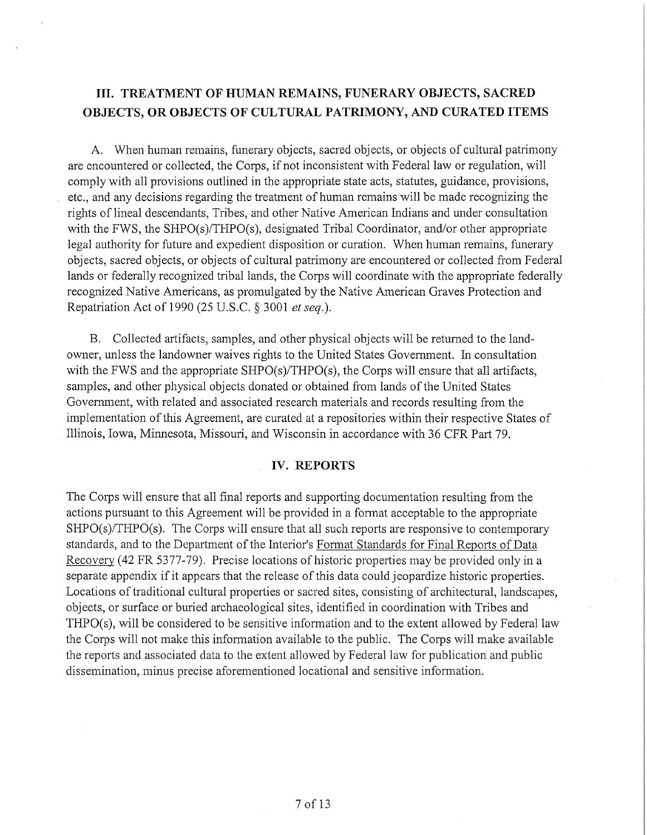# **III. TREATMENT OF HUMAN REMAINS, FUNERARY OBJECTS, SACRED OBJECTS, OR OBJECTS OF CULTURAL PATRIMONY, AND CURATED ITEMS**

A. When human remains, funerary objects, sacred objects, or objects of cultural patrimony are encountered or collected, the Corps, if not inconsistent with Federal law or regulation, will comply with all provisions outlined in the appropriate state acts, statutes, guidance, provisions, etc., and any decisions regarding the treatment of human remains will be made recognizing the rights of lineal descendants, Tribes, and other Native American Indians and under consultation with the FWS, the SHPO(s)/THPO(s), designated Tribal Coordinator, and/or other appropriate legal authority for future and expedient disposition or curation. When human remains, funerary objects, sacred objects, or objects of cultural patrimony are encountered or collected from Federal lands or federally recognized tribal lands, the Corps will coordinate with the appropriate federally recognized Native Americans, as promulgated by the Native American Graves Protection and Repatriation Act of 1990 (25 U.S.C. § 3001 *et seq.).* 

B. Collected artifacts, samples, and other physical objects will be returned to the landowner, unless the landowner waives rights to the United States Government. In consultation with the FWS and the appropriate SHPO(s)/THPO(s), the Corps will ensure that all artifacts, samples, and other physical objects donated or obtained from lands of the United States Government, with related and associated research materials and records resulting from the implementation of this Agreement, are curated at a repositories within their respective States of Illinois, Iowa, Minnesota, Missouri, and Wisconsin in accordance with 36 CFR Part 79.

## **IV. REPORTS**

The Corps will ensure that all final reports and supporting documentation resulting from the actions pursuant to this Agreement will be provided in a fonnat acceptable to the appropriate SHPO(s)/THPO(s). The Corps will ensure that all such reports are responsive to contemporary standards, and to the Department of the Interior's Format Standards for Final Reports of Data Recovery (42 FR 5377-79). Precise locations of historic properties may be provided only in a separate appendix if it appears that the release of this data could jeopardize historic properties. Locations of traditional cultural properiies or sacred sites, consisting of architectural, landscapes, objects, or surface or buried archaeological sites, identified in coordination with Tribes and THPO(s), will be considered to be sensitive information and to the extent allowed by Federal law the Corps will not make this information available to the public. The Corps will make available the reporis and associated data to the extent allowed by Federal law for publication and public dissemination, minus precise aforementioned locational and sensitive information.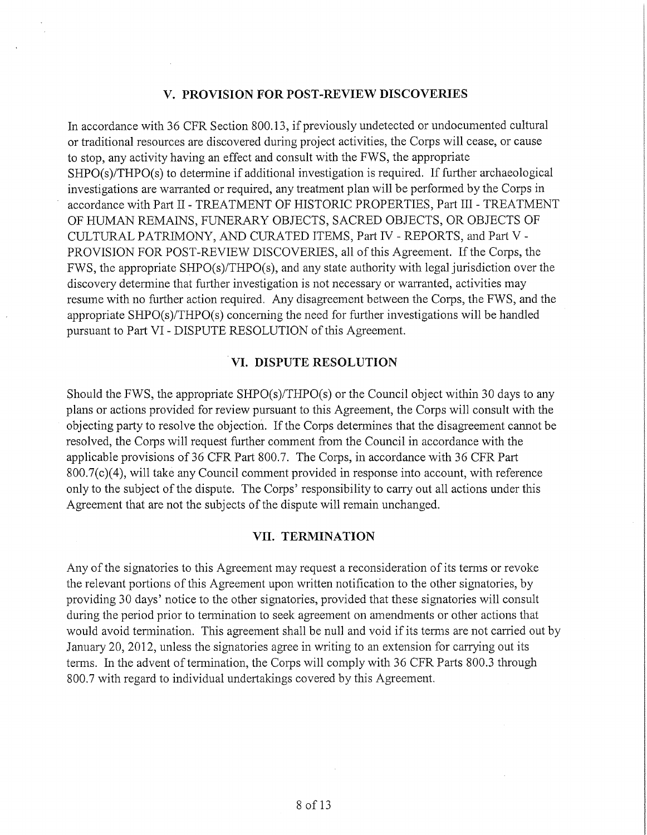## **V. PROVISION FOR POST-REVIEW DISCOVERIES**

In accordance with 36 CFR Section 800.13, if previously undetected or undocumented cultural or traditional resources are discovered during project activities, the Corps will cease, or cause to stop, any activity having an effect and consult with the FWS, the appropriate SHPO(s)/THPO(s) to determine if additional investigation is required. If further archaeological investigations are warranted or required, any treatment plan will be performed by the Corps in accordance with Part II- TREATMENT OF HISTORIC PROPERTIES, Part III-TREATMENT OF HUMAN REMAINS, FUNERARY OBJECTS, SACRED OBJECTS, OR OBJECTS OF CULTURAL PATRIMONY, AND CURATED ITEMS, Part IV - REPORTS, and Part V - PROVISION FOR POST-REVIEW DISCOVERIES, all of this Agreement. If the Corps, the FWS, the appropriate SHPO(s)/THPO(s), and any state authority with legal jurisdiction over the discovery determine that further investigation is not necessary or warranted, activities may resume with no further action required. Any disagreement between the Corps, the FWS, and the appropriate SHPO(s)/THPO(s) concerning the need for further investigations will be handled pursuant to Part VI - DISPUTE RESOLUTION of this Agreement.

### . **VI. DISPUTE RESOLUTION**

Should the FWS, the appropriate SHPO(s)/THPO(s) or the Council object within 30 days to any plans or actions provided for review pursuant to this Agreement, the Corps will consult with the objecting party to resolve the objection. If the Corps determines that the disagreement cannot be resolved, the Corps will request further comment from the Council in accordance with the applicable provisions of 36 CFR Part 800.7. The Corps, in accordance with 36 CFR Part 800.7(c)(4), will take any Council comment provided in response into account, with reference only to the subject of the dispute. The Corps' responsibility to carry out all actions under this Agreement that are not the subjects of the dispute will remain unchanged.

### **VII. TERMINATION**

Any of the signatories to this Agreement may request a reconsideration of its terms or revoke the relevant portions of this Agreement upon written notification to the other signatories, by providing 30 days' notice to the other signatories, provided that these signatories will consult during the period prior to termination to seek agreement on amendments or other actions that would avoid termination. This agreement shall be null and void if its terms are not carried out by January 20, 2012, unless the signatories agree in writing to an extension for carrying out its terms. In the advent of termination, the Corps will comply with 36 CFR Parts 800.3 through 800.7 with regard to individual undertakings covered by this Agreement.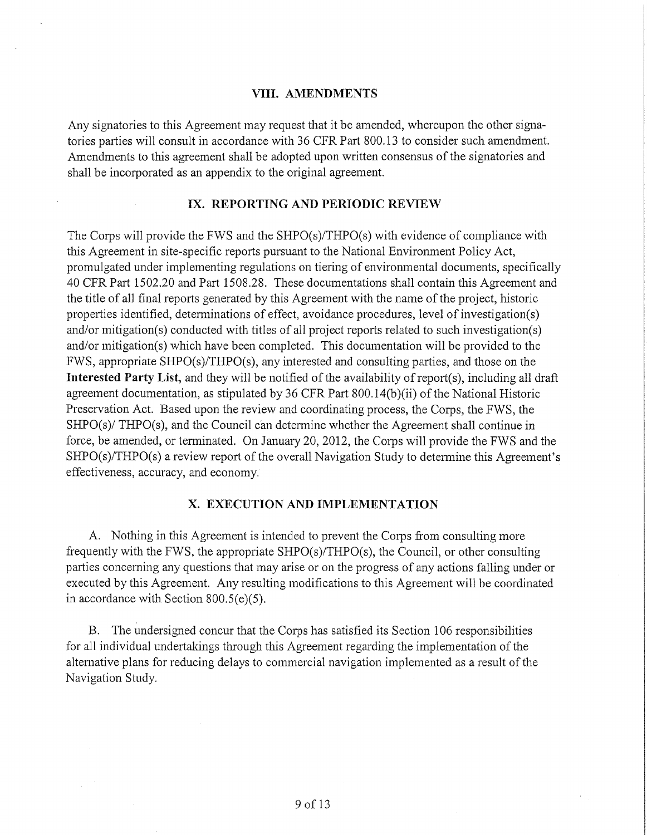### **VIII. AMENDMENTS**

Any signatories to this Agreement may request that it be amended, whereupon the other signatories parties will consult in accordance with 36 CFR Part 800.13 to consider such amendment. Amendments to this agreement shall be adopted upon written consensus of the signatories and shall be incorporated as an appendix to the original agreement.

### **IX. REPORTING AND PERIODIC REVIEW**

The Corps will provide the FWS and the SHPO(s)/THPO(s) with evidence of compliance with this Agreement in site-specific reports pursuant to the National Environment Policy Act, promulgated under implementing regulations on tiering of environmental documents, specifically 40 CFR Part 1502.20 and Part 1508.28. These documentations shall contain this Agreement and the title of all final reports generated by this Agreement with the name of the project, historic properties identified, determinations of effect, avoidance procedures, level of investigation(s) and/or mitigation(s) conducted with titles of all project reports related to such investigation(s) and/or mitigation(s) which have been completed. This documentation will be provided to the FWS, appropriate SHPO(s)/THPO(s), any interested and consulting parties, and those on the **Interested Party List,** and they will be notified of the availability ofreport(s), including all draft agreement documentation, as stipulated by 36 CFR Part 800.14(b)(ii) of the National Historic Preservation Act. Based upon the review and coordinating process, the Corps, the FWS, the SHPO(s)/ THPO(s), and the Council can determine whether the Agreement shall continue in force, be amended, or terminated. On January 20, 2012, the Corps will provide the FWS and the SHPO(s)/THPO(s) a review report of the overall Navigation Study to determine this Agreement's effectiveness, accuracy, and economy.

### **X. EXECUTION AND IMPLEMENTATION**

A. Nothing in this Agreement is intended to prevent the Corps from consulting more frequently with the FWS, the appropriate SHPO(s)/THPO(s), the Council, or other consulting parties concerning any questions that may arise or on the progress of any actions falling under or executed by this Agreement. Any resulting modifications to this Agreement will be coordinated in accordance with Section 800.5(e)(5).

B. The undersigned concur that the Corps has satisfied its Section 106 responsibilities for all individual undertakings through this Agreement regarding the implementation of the alternative plans for reducing delays to commercial navigation implemented as a result of the Navigation Study.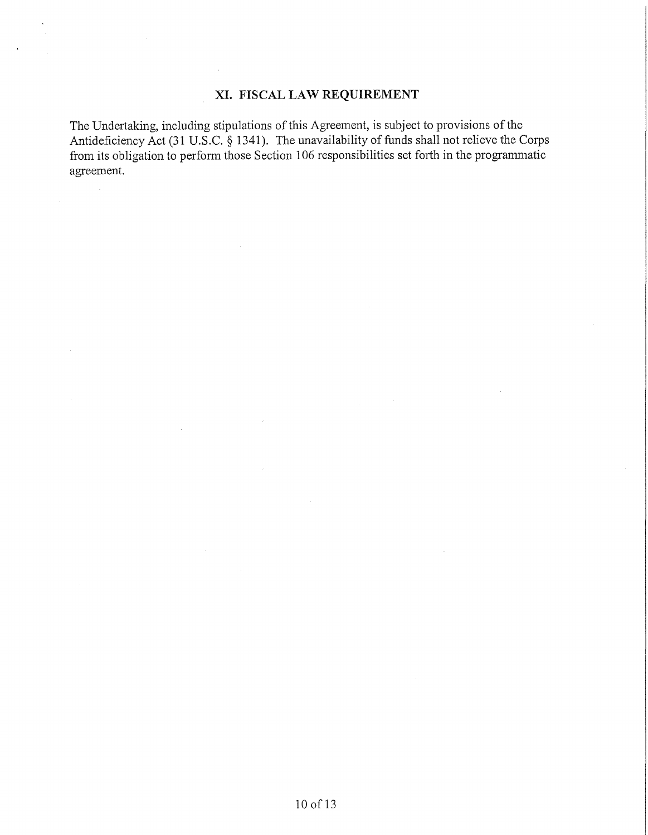# **XI. FISCAL LAW REQUIREMENT**

The Undertaking, including stipulations of this Agreement, is subject to provisions of the Antideficiency Act (31 U.S.C. § 1341). The unavailability of funds shall not relieve the Corps from its obligation to perform those Section 106 responsibilities set forth in the programmatic agreement.

 $\sim$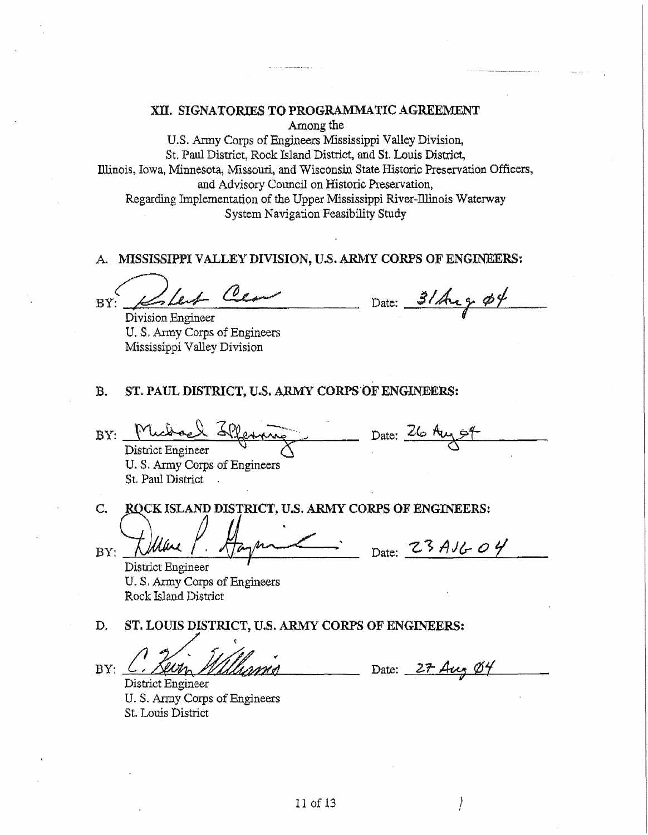### XII. SIGNATORIES TO PROGRAMMATIC AGREEMENT Among the

U.S. Army Corps of Engineers Mississippi Valley Division, St. Paul District, Rock Island District, and St. Louis District, Illinois, Iowa, Minnesota, Missouri, and Wisconsin State Historic Preservation Officers, and Advisory Council on Historic Preservation, Regarding Implementation of the Upper Mississippi River~Illinois Waterway System Navigation Feasibility Study

A MISSISSIPPI VALLEY DIVISION, U.S. ARMY CORPS OF ENGINEERS:

BY: Kolert Cear

Division Engineer U. S. Army Corps of Engineers Mississippi Valley Division

Date:  $3/\text{Arg}\phi\$ *I* 

### B. ST. PAUL DISTRICT, U.S. ARMY CORPS OF ENGINEERS:

BY: Michael Sleaning Date: 26 Au District Engineer 6 U.S. Army Corps of Engineers St. Paul District .

C. **CK ISLAND DISTRICT, U.S. ARMY CORPS OF ENGINEERS:** 

BY:

I . ' **Date: 'Z- <sup>1</sup>A** *h!r O <sup>i</sup>*

District Engineer U. S, Army Corps of Engineers Rock Island District

D. **ST. LOUIS DISTRICT, U.S. ARMY CORPS OF ENGINEERS:** 

BY: C. Seem Millianna

District Engineer U.S. Anny Corps of Engineers St. Louis District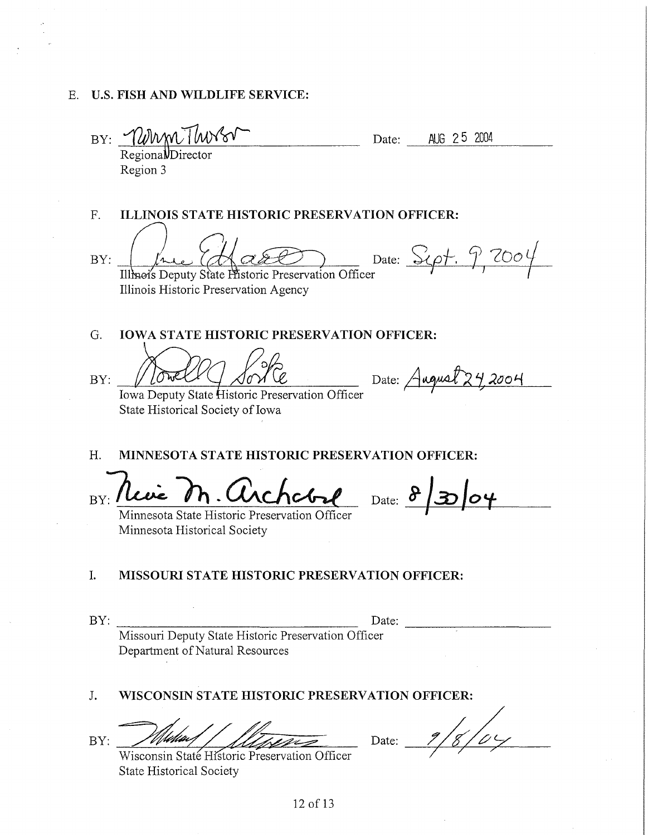# E. U.S. FISH AND WILDLIFE SERVICE:

BY: <u>WWWTWV8V Date: AUG 25 2004</u><br>RegionalDirector

Region 3

F. ILLINOIS STATE HISTORIC PRESERVATION OFFICER:

BY:

 $\mu$  (Act Clear ) Date: Sept. 9, 2004

Illinois Historic Preservation Agency

G. **IOWA STATE HISTORIC PRESERVATION OFFICER:** 

G. **IOWA STATE HISTORIC PRESERVATION OFFICER:**<br>BY:  $\frac{\sqrt{6\pi C}}{6\pi\sqrt{6}}$  *Date:*  $\frac{242004}{2\pi\sqrt{6}}$ 

Iowa Deputy State Historic Preservation Officer State Historical Society of Iowa

H. **MINNESOTA STATE HISTORIC PRESERVATION OFFICER:** 

BY: Leve M. Circhcbal Date: 8/30/04

Minnesota State Historic Preservation Officer Minnesota Historical Society

## I. **MISSOURI STATE HISTORIC PRESERVATION OFFICER:**

BY: \_\_\_\_\_\_\_\_\_\_\_\_\_\_\_\_ Date: \_\_\_\_\_\_\_\_\_ \_

Missouri Deputy State Historic Preservation Officer Department of Natural Resources

# J. **WISCONSIN STATE HISTORIC PRESERVATION OFFICER:**

BY:

Date:<br>
Missouri Deputy State Historic Preservation Officer<br>
Department of Natural Resources<br>
WISCONSIN STATE HISTORIC PRESERVATION OFFICER:<br>
Wisconsin State Historic Preservation Officer<br>
State Historical Society<br>
State Hi

State Historical Society

Date: 1/8/04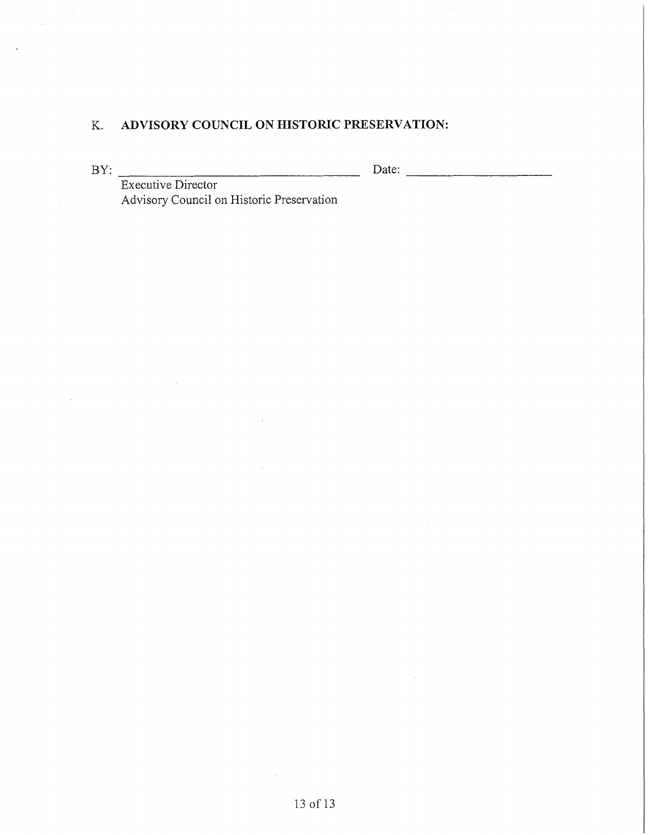# K. **ADVISORY COUNCIL ON HISTORIC PRESERVATION:**

 $\Box$  Date:  $\Box$ 

BY: Executive Director Advisory Council on Historic Preservation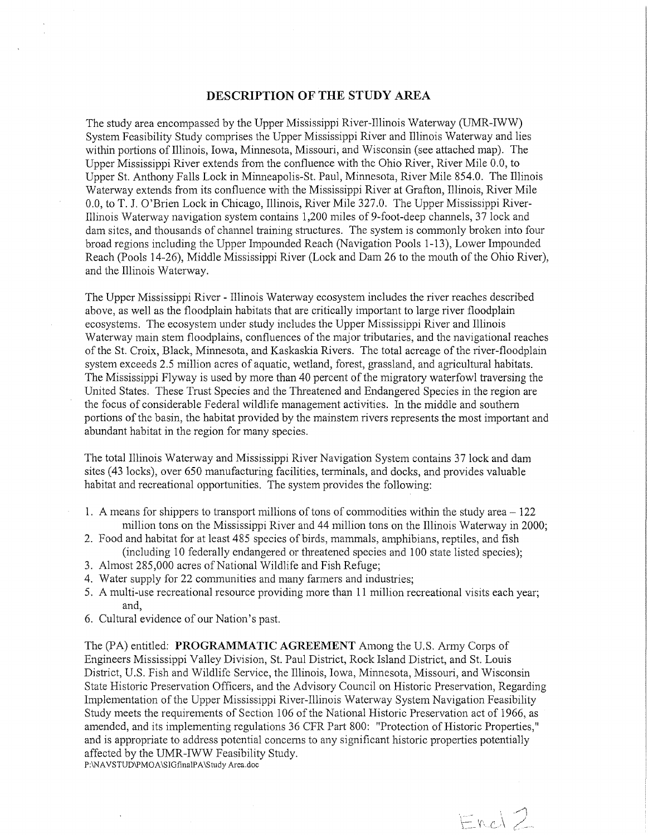### **DESCRIPTION OF THE STUDY AREA**

The study area encompassed by the Upper Mississippi River-Illinois Waterway (UMR-IWW) System Feasibility Study comprises the Upper Mississippi River and Illinois Waterway and lies within portions of Illinois, Iowa, Minnesota, Missouri, and Wisconsin (see attached map). The Upper Mississippi River extends from the confluence with the Ohio River, River Mile 0.0, to Upper St. Anthony Falls Lock in Minneapolis-St. Paul, Minnesota, River Mile 854.0. The Illinois Waterway extends from its confluence with the Mississippi River at Grafton, Illinois, River Mile 0.0, to T. J. O'Brien Lock in Chicago, Illinois, River Mile 327.0. The Upper Mississippi River-Illinois Waterway navigation system contains 1,200 miles of 9-foot-deep channels, 37 lock and dam sites, and thousands of channel training structures. The system is commonly broken into four broad regions including the Upper Impounded Reach (Navigation Pools 1-13), Lower Impounded Reach (Pools 14-26), Middle Mississippi River (Lock and Dam 26 to the mouth of the Ohio River), and the Illinois Waterway.

The Upper Mississippi River - Illinois Waterway ecosystem includes the river reaches described above, as well as the floodplain habitats that are critically important to large river floodplain ecosystems. The ecosystem under study includes the Upper Mississippi River and Illinois Waterway main stem floodplains, confluences of the major tributaries, and the navigational reaches of the St. Croix, Black, Minnesota, and Kaskaskia Rivers. The total acreage of the river-floodplain system exceeds 2.5 million acres of aquatic, wetland, forest, grassland, and agricultural habitats. The Mississippi Flyway is used by more than 40 percent of the migratory waterfowl traversing the United States. These Trust Species and the Threatened and Endangered Species in the region are the focus of considerable Federal wildlife management activities. In the middle and southern portions of the basin, the habitat provided by the mainstem rivers represents the most important and abundant habitat in the region for many species.

The total Illinois Waterway and Mississippi River Navigation System contains 37 lock and dam sites ( 43 locks), over 650 manufacturing facilities, terminals, and docks, and provides valuable habitat and recreational opportunities. The system provides the following:

- 1. A means for shippers to transport millions of tons of commodities within the study area 122 million tons on the Mississippi River and 44 million tons on the Illinois Waterway in 2000;
- 2. Food and habitat for at least 485 species of birds, mammals, amphibians, reptiles, and fish ( including 10 federally endangered or threatened species and 100 state listed species);
- 3. Almost 285,000 acres of National Wildlife and Fish Refuge;
- 4. Water supply for 22 communities and many farmers and industries;
- 5. A multi-use recreational resource providing more than 11 million recreational visits each year; and,
- 6. Cultural evidence of our Nation's past.

The (PA) entitled: **PROGRAMMATIC AGREEMENT** Among the U.S. Army Corps of Engineers Mississippi Valley Division, St. Paul District, Rock Island District, and St. Louis District, U.S. Fish and Wildlife Service, the Illinois, Iowa, Minnesota, Missouri, and Wisconsin State Historic Preservation Officers, and the Advisory Council on Historic Preservation, Regarding Implementation of the Upper Mississippi River-Illinois Waterway System Navigation Feasibility Study meets the requirements of Section 106 of the National Historic Preservation act of 1966, as amended, and its implementing regulations 36 CFR Part 800: "Protection of Historic Properties," and is appropriate to address potential concerns to any significant historic properties potentially affected by the UMR-IWW Feasibility Study. P:\NAVSTUD\PMOA\SIGfinalPA\Study Area.doc

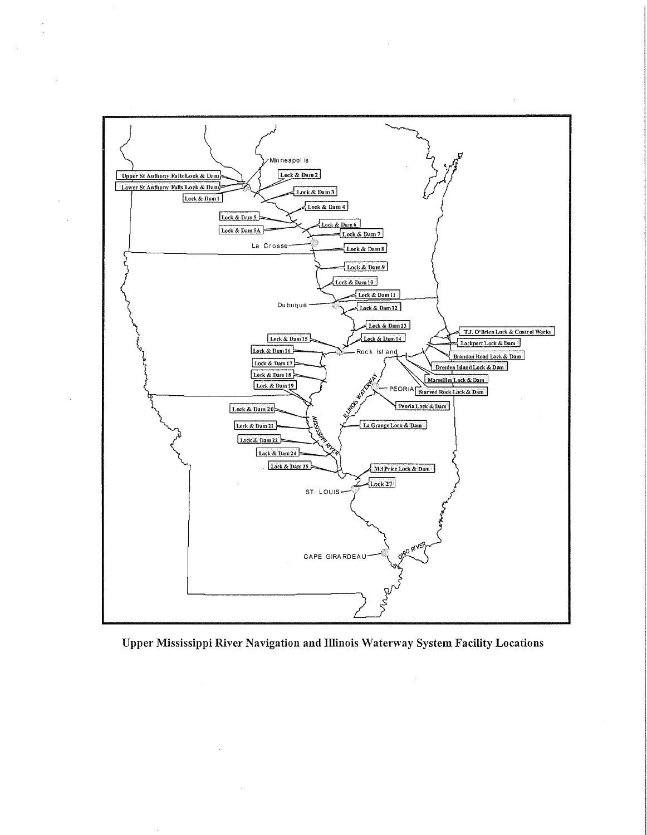

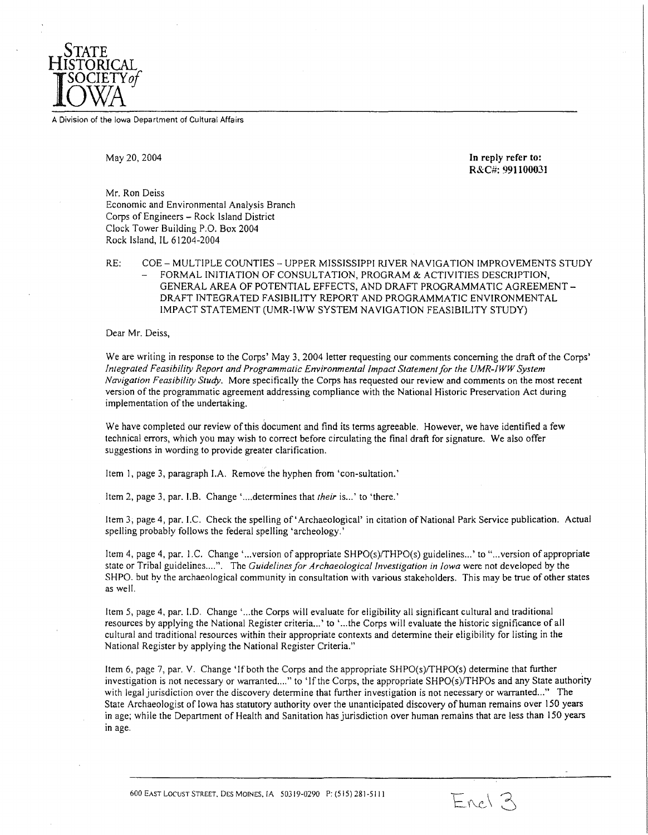

A Division of the Iowa Department of Cultural Attairs

May 20, 2004

**In reply refer to: R&C#: 991100031** 

Mr. Ron Deiss Economic and Environmental Analysis Branch Corps of Engineers - Rock Island District Clock Tower Building P.O. Box 2004 Rock Island, IL 61204-2004

RE: COE - MULTIPLE COUNTIES - UPPER MISSISSIPPI RJVER NAVIGATION IMPROVEMENTS STUDY FORMAL INITIATION OF CONSULTATION, PROGRAM & ACTIVITIES DESCRIPTION, GENERAL AREA OF POTENTIAL EFFECTS, AND DRAFT PROGRAMMATIC AGREEMENT-DRAFT INTEGRATED FASIBILITY REPORT AND PROGRAMMATIC ENVIRONMENTAL IMPACT STATEMENT (UMR-IWW SYSTEM NAVIGATION FEASIBILITY STUDY)

Dear Mr. Deiss,

We are writing in response to the Corps' May 3, 2004 letter requesting our comments concerning the draft of the Corps' *fnlegrated Feasibility Report and Programmatic Environmental Impact Statement/or the UMR-JWW System Navigation Feasibility Study.* More specifically the Corps has requested our review and comments on the most recent version of the programmatic agreement addressing compliance with the National Historic Preservation Act during implementation of the undertaking.

We have completed our review of this document and find its terms agreeable. However, we have identified a few technical errors, which you may wish to correct before circulating the final draft for signature. We also offer suggestions in wording to provide greater clarification.

Item I, page 3, paragraph I.A. Remove the hyphen from 'con-sultation.'

Item 2, page 3, par. J.B. Change ' .... determines that *their* is .. .' to 'there.'

Item 3, page 4, par. J.C. Check the spelling of' Archaeological' in citation of National Park Service publication. Actual spelling probably follows the federal spelling 'archeology.'

Item 4, page 4, par. 1.C. Change '... version of appropriate SHPO(s)/THPO(s) guidelines...' to "... version of appropriate state or Tribal guidelines....". The *Guidelines for Archaeological Investigation in Iowa* were not developed by the SHPO. but by the archaeological community in consultation with various stakeholders. This may be true of other states as well.

Item 5, page 4, par. I.D. Change '... the Corps will evaluate for eligibility all significant cultural and traditional resources by applying the National Register criteria ... ' to ' ... the Corps will evaluate the historic significance of all cultural and traditional resources within their appropriate contexts and determine their eligibility for listing in the National Register by applying the National Register Criteria."

Item 6, page 7, par. V. Change 'If both the Corps and the appropriate SHPO(s)/THPO(s) determine that further investigation is not necessary or warranted .... " to 'If the Corps, the appropriate SHPO(s)/THPOs and any State authority with legal jurisdiction over the discovery determine that further investigation is not necessary or warranted..." The State Archaeologist of Iowa has statutory authority over the unanticipated discovery of human remains over 150 years in age; while the Department of Health and Sanitation has jurisdiction over human remains that are less than 150 years in age.

Encl 3

600 EAST LOCUST STREET, DES MOfNES, IA 50319-0290 P: (515) 281-5111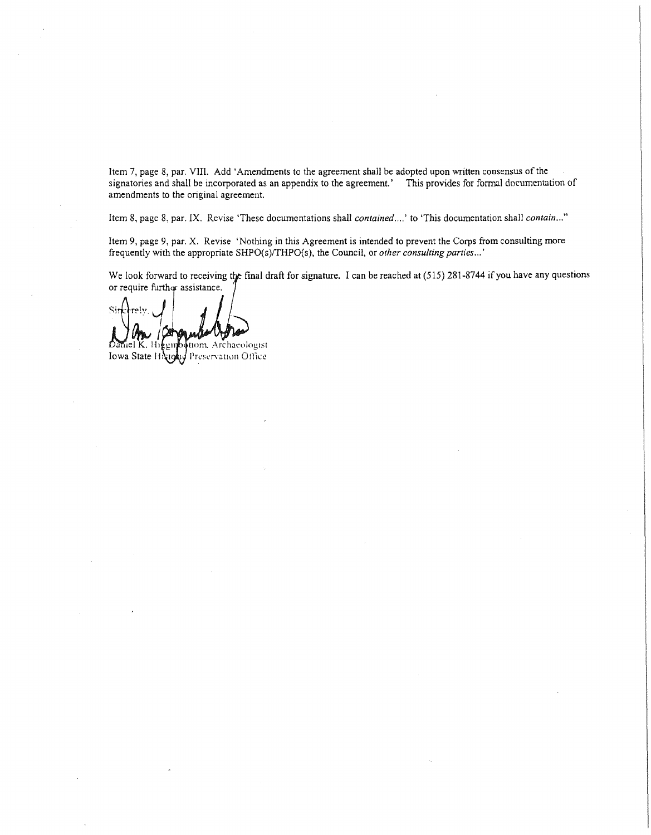Item 7, page 8, par. VIII. Add 'Amendments to the agreement shall be adopted upon written consensus of the signatories and shall be incorporated as an appendix to the agreement.' This provides for formal documentation of amendments to the original agreement.

Item 8, page 8, par. IX. Revise 'These documentations shall *contained .... '* to 'This documentation shall *contain ... "* 

Item 9, page 9, par. X. Revise 'Nothing in this Agreement is intended to prevent the Corps from consulting more frequently with the appropriate SHPO(s)/THPO(s), the Council, or *other consulting parties...'* 

We look forward to receiving the final draft for signature. I can be reached at  $(515)$  281-8744 if you have any questions

or require further assi<br>Since rely of the same of the same of the same of the same of the same of the same of the same of the same of the same of the same of the same of the same of the same of the same of the same of the

 $D$ aniel K. lii $\ell$ tiom. Archaeologist Iowa State Highly Preservation Office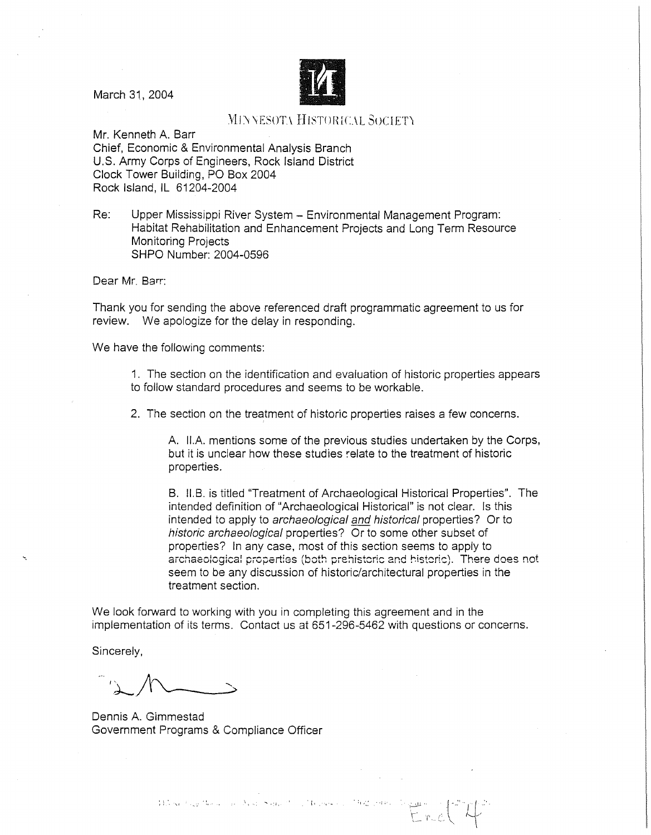

March 31, 2004

# **WINNESOT\ HISTORICAL SOCIETY**

Mr. Kenneth A. Barr Chief, Economic & Environmental Analysis Branch U.S. Army Corps of Engineers, Rock Island District Clock Tower Building, PO Box 2004 Rock Island, IL 61204-2004

Re: Upper Mississippi River System - Environmental Management Program: Habitat Rehabilitation and Enhancement Projects and Long Term Resource Monitoring Projects SHPO Number: 2004-0596

Dear Mr. Barr:

Thank you for sending the above referenced draft programmatic agreement to us for review. We apologize for the delay in responding.

We have the following comments:

1. The section on the identification and evaluation of historic properties appears to follow standard procedures and seems to be workable.

2. The section on the treatment of historic properties raises a few concerns.

A. II.A. mentions some of the previous studies undertaken by the Corps, but it is unclear how these studies :elate to the treatment of historic properties.

B. 11.B. is titled "Treatment of Archaeological Historical Properties". The intended definition of "Archaeological Historical" is not clear. Is this intended to apply to archaeological and historical properties? Or to historic archaeological properties? Or to some other subset of properties? In any case, most of this section seems to apply to archaeological properties (both prehistoric and historic). There does not seem to be any discussion of historic/architectural properties in the treatment section.

We look forward to working with you in completing this agreement and in the implementation of its terms. Contact us at 651-296-5462 with questions or concerns.

Sincerely,

Dennis A. Gimmestad Government Programs & Compliance Officer